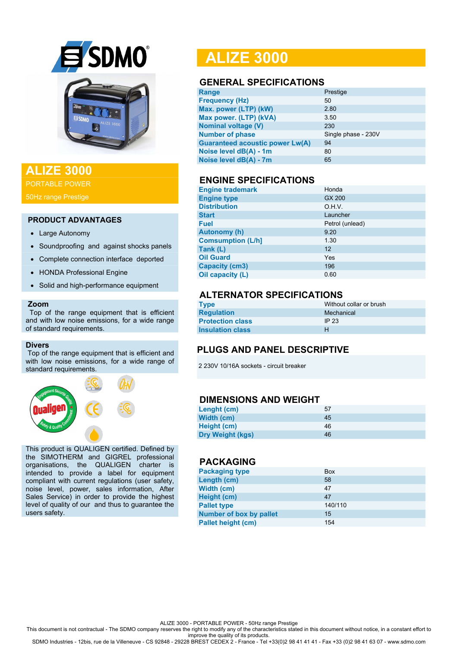

## **ALIZE 3000**

PORTABLE POWER

50Hz range Prestige

#### **PRODUCT ADVANTAGES**

- Large Autonomy
- Soundproofing and against shocks panels
- Complete connection interface deported
- HONDA Professional Engine
- Solid and high-performance equipment

#### **Zoom**

 Top of the range equipment that is efficient and with low noise emissions, for a wide range of standard requirements.

#### **Divers**

Top of the range equipment that is efficient and with low noise emissions, for a wide range of standard requirements.



This product is QUALIGEN certified. Defined by the SIMOTHERM and GIGREL professional organisations, the QUALIGEN charter is intended to provide a label for equipment compliant with current regulations (user safety, noise level, power, sales information, After Sales Service) in order to provide the highest level of quality of our and thus to guarantee the users safety.

# **ALIZE 3000**

### **GENERAL SPECIFICATIONS**

| Range                                  | Prestige            |
|----------------------------------------|---------------------|
| <b>Frequency (Hz)</b>                  | 50                  |
| Max. power (LTP) (kW)                  | 2.80                |
| Max power. (LTP) (kVA)                 | 3.50                |
| <b>Nominal voltage (V)</b>             | 230                 |
| <b>Number of phase</b>                 | Single phase - 230V |
| <b>Guaranteed acoustic power Lw(A)</b> | 94                  |
| Noise level dB(A) - 1m                 | 80                  |
| Noise level dB(A) - 7m                 | 65                  |
|                                        |                     |

### **ENGINE SPECIFICATIONS**

| <b>Engine trademark</b>  | Honda           |
|--------------------------|-----------------|
| <b>Engine type</b>       | GX 200          |
| <b>Distribution</b>      | O.H.V.          |
| <b>Start</b>             | Launcher        |
| <b>Fuel</b>              | Petrol (unlead) |
| <b>Autonomy (h)</b>      | 9.20            |
| <b>Comsumption (L/h]</b> | 1.30            |
| Tank (L)                 | 12              |
| <b>Oil Guard</b>         | Yes             |
| <b>Capacity (cm3)</b>    | 196             |
| Oil capacity (L)         | 0.60            |

## **ALTERNATOR SPECIFICATIONS**

| <b>Type</b>             | Without collar or brush |
|-------------------------|-------------------------|
| <b>Regulation</b>       | Mechanical              |
| <b>Protection class</b> | IP $23$                 |
| <b>Insulation class</b> | н                       |

## **PLUGS AND PANEL DESCRIPTIVE**

2 230V 10/16A sockets - circuit breaker

### **DIMENSIONS AND WEIGHT**

| Lenght (cm)             | 57 |
|-------------------------|----|
| Width (cm)              | 45 |
| Height (cm)             | 46 |
| <b>Dry Weight (kgs)</b> | 46 |

#### **PACKAGING**

| <b>Packaging type</b>          | <b>Box</b> |
|--------------------------------|------------|
| Length (cm)                    | 58         |
| Width (cm)                     | 47         |
| Height (cm)                    | 47         |
| <b>Pallet type</b>             | 140/110    |
| <b>Number of box by pallet</b> | 15         |
| <b>Pallet height (cm)</b>      | 154        |

ALIZE 3000 - PORTABLE POWER - 50Hz range Prestige

This document is not contractual - The SDMO company reserves the right to modify any of the characteristics stated in this document without notice, in a constant effort to

improve the quality of its products. SDMO Industries - 12bis, rue de la Villeneuve - CS 92848 - 29228 BREST CEDEX 2 - France - Tel +33(0)2 98 41 41 41 - Fax +33 (0)2 98 41 63 07 - www.sdmo.com